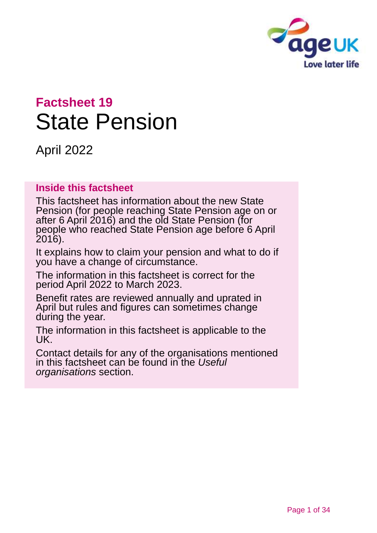

# **Factsheet 19** State Pension

April 2022

### **Inside this factsheet**

This factsheet has information about the new State Pension (for people reaching State Pension age on or after 6 April 2016) and the old State Pension (for people who reached State Pension age before 6 April 2016).

It explains how to claim your pension and what to do if you have a change of circumstance.

The information in this factsheet is correct for the period April 2022 to March 2023.

Benefit rates are reviewed annually and uprated in April but rules and figures can sometimes change during the year.

The information in this factsheet is applicable to the UK.

Contact details for any of the organisations mentioned in this factsheet can be found in the *[Useful](#page-30-0)  [organisations](#page-30-0)* section.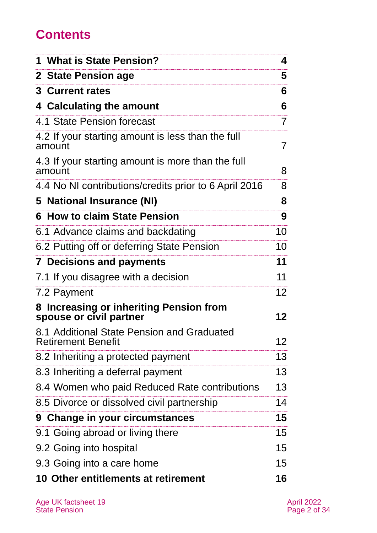## **Contents**

| 1 What is State Pension?                                                | 4               |
|-------------------------------------------------------------------------|-----------------|
| 2 State Pension age                                                     | 5               |
| <b>3 Current rates</b>                                                  | 6               |
| 4 Calculating the amount                                                | 6               |
| 4.1 State Pension forecast                                              | 7               |
| 4.2 If your starting amount is less than the full<br>amount             | 7               |
| 4.3 If your starting amount is more than the full<br>amount             | 8               |
| 4.4 No NI contributions/credits prior to 6 April 2016                   | 8               |
| 5 National Insurance (NI)                                               | 8               |
| 6 How to claim State Pension                                            | 9               |
| 6.1 Advance claims and backdating                                       | 10              |
| 6.2 Putting off or deferring State Pension                              | 10              |
| <b>7 Decisions and payments</b>                                         | 11              |
| 7.1 If you disagree with a decision                                     | 11              |
| 7.2 Payment                                                             | 12 <sup>2</sup> |
| 8 Increasing or inheriting Pension from<br>spouse or civil partner      | 12              |
| 8.1 Additional State Pension and Graduated<br><b>Retirement Benefit</b> | 12              |
| 8.2 Inheriting a protected payment                                      | 13              |
| 8.3 Inheriting a deferral payment                                       | 13              |
| 8.4 Women who paid Reduced Rate contributions                           | 13              |
| 8.5 Divorce or dissolved civil partnership                              | 14              |
| 9 Change in your circumstances                                          | 15              |
| 9.1 Going abroad or living there                                        | 15              |
| 9.2 Going into hospital                                                 | 15              |
| 9.3 Going into a care home                                              | 15              |
| <b>10 Other entitlements at retirement</b>                              | 16              |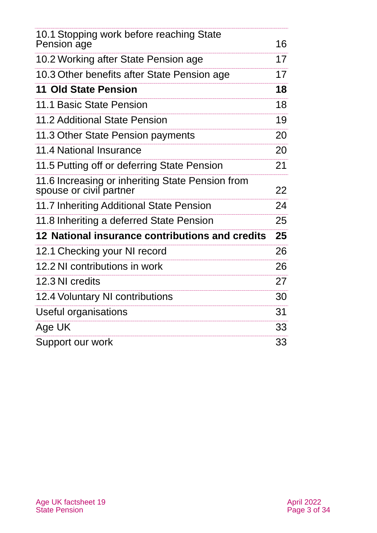| 10.1 Stopping work before reaching State<br>Pension age                     | 16 |
|-----------------------------------------------------------------------------|----|
| 10.2 Working after State Pension age                                        | 17 |
| 10.3 Other benefits after State Pension age                                 | 17 |
| 11 Old State Pension                                                        | 18 |
| 11.1 Basic State Pension                                                    | 18 |
| 11.2 Additional State Pension                                               | 19 |
| 11.3 Other State Pension payments                                           | 20 |
| 11.4 National Insurance                                                     | 20 |
| 11.5 Putting off or deferring State Pension                                 | 21 |
| 11.6 Increasing or inheriting State Pension from<br>spouse or civil partner | 22 |
| 11.7 Inheriting Additional State Pension                                    | 24 |
| 11.8 Inheriting a deferred State Pension                                    | 25 |
| 12 National insurance contributions and credits                             | 25 |
| 12.1 Checking your NI record                                                | 26 |
| 12.2 NI contributions in work                                               | 26 |
| 12.3 NI credits                                                             | 27 |
| 12.4 Voluntary NI contributions                                             | 30 |
| Useful organisations                                                        | 31 |
| Age UK                                                                      | 33 |
| Support our work                                                            | 33 |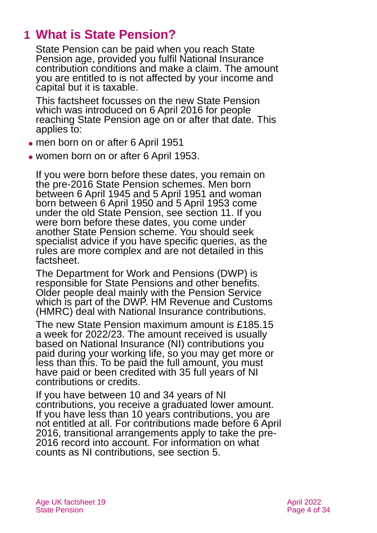## <span id="page-3-0"></span>**1 What is State Pension?**

State Pension can be paid when you reach State Pension age, provided you fulfil National Insurance contribution conditions and make a claim. The amount you are entitled to is not affected by your income and capital but it is taxable.

This factsheet focusses on the new State Pension which was introduced on 6 April 2016 for people reaching State Pension age on or after that date. This applies to:

- ⚫ men born on or after 6 April 1951
- ⚫ women born on or after 6 April 1953.

If you were born before these dates, you remain on the pre-2016 State Pension schemes. Men born between 6 April 1945 and 5 April 1951 and woman born between 6 April 1950 and 5 April 1953 come under the old State Pension, see [section 11.](#page-17-0) If you were born before these dates, you come under another State Pension scheme. You should seek specialist advice if you have specific queries, as the rules are more complex and are not detailed in this factsheet.

The Department for Work and Pensions (DWP) is responsible for State Pensions and other benefits. Older people deal mainly with the Pension Service which is part of the DWP. HM Revenue and Customs (HMRC) deal with National Insurance contributions.

The new State Pension maximum amount is £185.15 a week for 2022/23. The amount received is usually based on National Insurance (NI) contributions you paid during your working life, so you may get more or less than this. To be paid the full amount, you must have paid or been credited with 35 full years of NI contributions or credits.

If you have between 10 and 34 years of NI contributions, you receive a graduated lower amount. If you have less than 10 years contributions, you are not entitled at all. For contributions made before 6 April 2016, transitional arrangements apply to take the pre-2016 record into account. For information on what counts as NI contributions, see [section 5.](#page-7-0)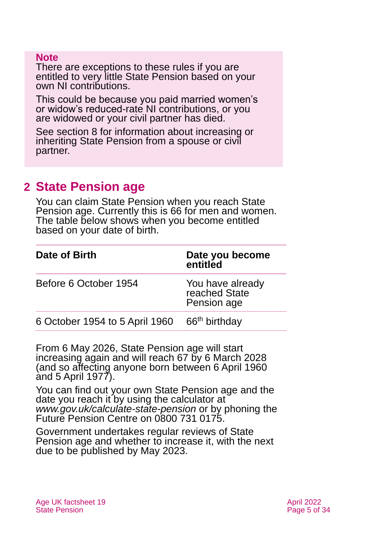#### **Note**

There are exceptions to these rules if you are entitled to very little State Pension based on your own NI contributions.

This could be because you paid married women's or widow's reduced-rate NI contributions, or you are widowed or your civil partner has died.

[See section 8](#page-11-0) for information about increasing or inheriting State Pension from a spouse or civil partner.

## <span id="page-4-0"></span>**2 State Pension age**

You can claim State Pension when you reach State Pension age. Currently this is 66 for men and women. The table below shows when you become entitled based on your date of birth.

| Date of Birth                                            | Date you become<br>entitled                      |
|----------------------------------------------------------|--------------------------------------------------|
| Before 6 October 1954                                    | You have already<br>reached State<br>Pension age |
| 6 October 1954 to 5 April 1960 66 <sup>th</sup> birthday |                                                  |

From 6 May 2026, State Pension age will start increasing again and will reach 67 by 6 March 2028 (and so affecting anyone born between 6 April 1960 and 5 April 1977).

You can find out your own State Pension age and the date you reach it by using the calculator at *[www.gov.uk/calculate-state-pension](http://www.gov.uk/calculate-state-pension)* or by phoning the Future Pension Centre on 0800 731 0175.

Government undertakes regular reviews of State Pension age and whether to increase it, with the next due to be published by May 2023.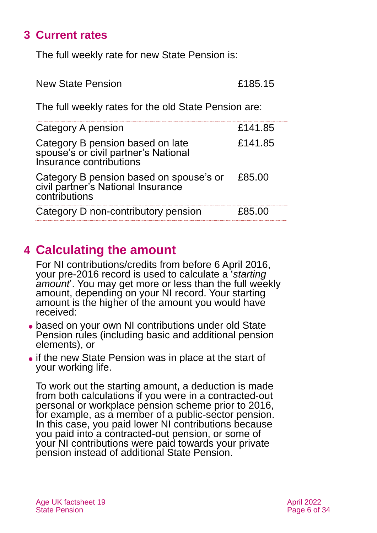## <span id="page-5-0"></span>**3 Current rates**

The full weekly rate for new State Pension is:

| <b>New State Pension</b> | £185.15 |
|--------------------------|---------|
|                          |         |

The full weekly rates for the old State Pension are:

| Category A pension                                                                                    | £141.85 |
|-------------------------------------------------------------------------------------------------------|---------|
| Category B pension based on late<br>spouse's or civil partner's National<br>Insurance contributions   | £141.85 |
| Category B pension based on spouse's or £85.00<br>civil partner's National Insurance<br>contributions |         |
| Category D non-contributory pension                                                                   | £85.00  |

## <span id="page-5-1"></span>**4 Calculating the amount**

For NI contributions/credits from before 6 April 2016, your pre-2016 record is used to calculate a '*starting amount*'. You may get more or less than the full weekly amount, depending on your NI record. Your starting amount is the higher of the amount you would have received:

- based on your own NI contributions under old State Pension rules (including basic and additional pension elements), or
- ⚫ if the new State Pension was in place at the start of your working life.

To work out the starting amount, a deduction is made from both calculations if you were in a contracted-out personal or workplace pension scheme prior to 2016, for example, as a member of a public-sector pension. In this case, you paid lower NI contributions because you paid into a contracted-out pension, or some of your NI contributions were paid towards your private pension instead of additional State Pension.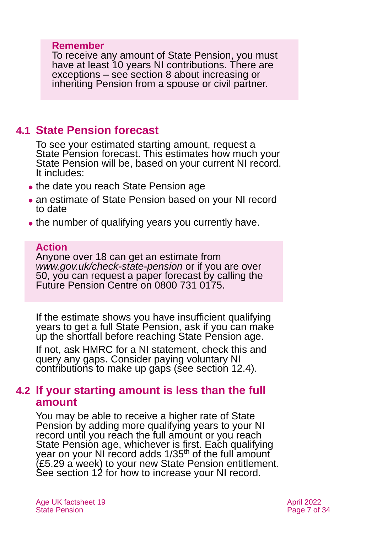#### **Remember**

To receive any amount of State Pension, you must have at least 10 years NI contributions. There are exceptions – [see section 8](#page-11-0) about increasing or inheriting Pension from a spouse or civil partner.

## <span id="page-6-0"></span>**4.1 State Pension forecast**

To see your estimated starting amount, request a State Pension forecast. This estimates how much your State Pension will be, based on your current NI record. It includes:

- the date you reach State Pension age
- an estimate of State Pension based on your NI record to date
- the number of qualifying years you currently have.

#### **Action**

Anyone over 18 can get an estimate from *[www.gov.uk/check-state-pension](http://www.gov.uk/check-state-pension)* or if you are over 50, you can request a paper forecast by calling the Future Pension Centre on 0800 731 0175.

If the estimate shows you have insufficient qualifying years to get a full State Pension, ask if you can make up the shortfall before reaching State Pension age.

If not, ask HMRC for a NI statement, check this and query any gaps. Consider paying voluntary NI contributions to make up gaps (see [section 12.4\)](#page-29-0).

### **4.2 If your starting amount is less than the full amount**

You may be able to receive a higher rate of State Pension by adding more qualifying years to your NI record until you reach the full amount or you reach State Pension age, whichever is first. Each qualifying year on your NI record adds 1/35<sup>th</sup> of the full amount (£5.29 a week) to your new State Pension entitlement. See [section 12](#page-26-0) for how to increase your NI record.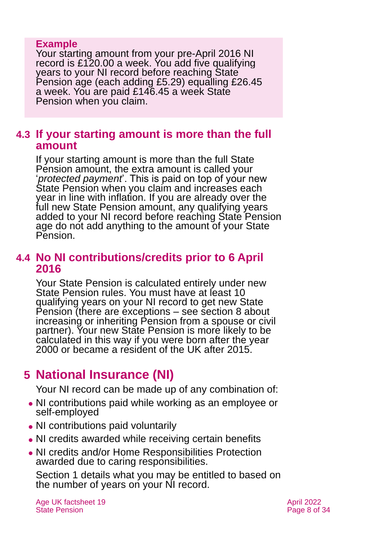### **Example**

Your starting amount from your pre-April 2016 NI record is £120.00 a week. You add five qualifying years to your NI record before reaching State Pension age (each adding £5.29) equalling £26.45 a week. You are paid £146.45 a week State Pension when you claim.

## **4.3 If your starting amount is more than the full amount**

If your starting amount is more than the full State Pension amount, the extra amount is called your '*protected payment*'. This is paid on top of your new State Pension when you claim and increases each year in line with inflation. If you are already over the full new State Pension amount, any qualifying years added to your NI record before reaching State Pension age do not add anything to the amount of your State Pension.

## **4.4 No NI contributions/credits prior to 6 April 2016**

Your State Pension is calculated entirely under new State Pension rules. You must have at least 10 qualifying years on your NI record to get new State Pension (there are exceptions – [see section 8](#page-11-0) about increasing or inheriting Pension from a spouse or civil partner). Your new State Pension is more likely to be calculated in this way if you were born after the year 2000 or became a resident of the UK after 2015.

## <span id="page-7-0"></span>**5 National Insurance (NI)**

Your NI record can be made up of any combination of:

- ⚫ NI contributions paid while working as an employee or self-employed
- NI contributions paid voluntarily
- NI credits awarded while receiving certain benefits
- ⚫ NI credits and/or Home Responsibilities Protection awarded due to caring responsibilities.

[Section 1](#page-3-0) details what you may be entitled to based on the number of years on your NI record.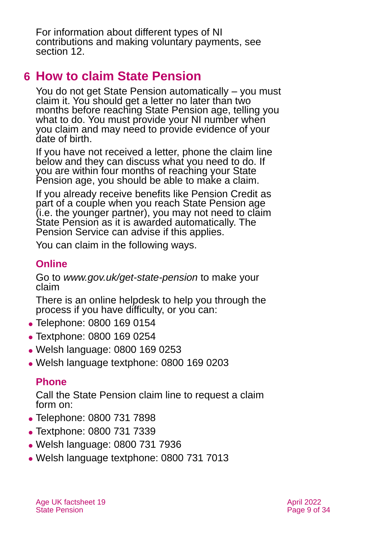For information about different types of NI contributions and making voluntary payments, see [section 12.](#page-24-0)

## <span id="page-8-0"></span>**6 How to claim State Pension**

You do not get State Pension automatically – you must claim it. You should get a letter no later than two months before reaching State Pension age, telling you what to do. You must provide your NI number when you claim and may need to provide evidence of your date of birth.

If you have not received a letter, phone the claim line below and they can discuss what you need to do. If you are within four months of reaching your State Pension age, you should be able to make a claim.

If you already receive benefits like Pension Credit as part of a couple when you reach State Pension age (i.e. the younger partner), you may not need to claim State Pension as it is awarded automatically. The Pension Service can advise if this applies.

You can claim in the following ways.

## **Online**

Go to *[www.gov.uk/get-state-pension](http://www.gov.uk/get-state-pension)* to make your claim

There is an online helpdesk to help you through the process if you have difficulty, or you can:

- ⚫ Telephone: 0800 169 0154
- ⚫ Textphone: 0800 169 0254
- ⚫ Welsh language: 0800 169 0253
- ⚫ Welsh language textphone: 0800 169 0203

## **Phone**

Call the State Pension claim line to request a claim form on:

- ⚫ Telephone: 0800 731 7898
- ⚫ Textphone: 0800 731 7339
- ⚫ Welsh language: 0800 731 7936
- ⚫ Welsh language textphone: 0800 731 7013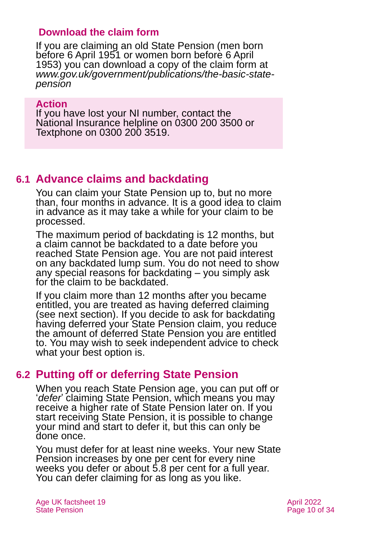### **Download the claim form**

If you are claiming an old State Pension (men born before 6 April 1951 or women born before 6 April 1953) you can download a copy of the claim form at *[www.gov.uk/government/publications/the-basic-state](http://www.gov.uk/government/publications/the-basic-state-pension)[pension](http://www.gov.uk/government/publications/the-basic-state-pension)*

#### **Action**

If you have lost your NI number, contact the National Insurance helpline on 0300 200 3500 or Textphone on 0300 200 3519.

## **6.1 Advance claims and backdating**

You can claim your State Pension up to, but no more than, four months in advance. It is a good idea to claim in advance as it may take a while for your claim to be processed.

The maximum period of backdating is 12 months, but a claim cannot be backdated to a date before you reached State Pension age. You are not paid interest on any backdated lump sum. You do not need to show any special reasons for backdating – you simply ask for the claim to be backdated.

If you claim more than 12 months after you became entitled, you are treated as having deferred claiming (see next [section\).](#page-9-0) If you decide to ask for backdating having deferred your State Pension claim, you reduce the amount of deferred State Pension you are entitled to. You may wish to seek independent advice to check what your best option is.

## <span id="page-9-0"></span>**6.2 Putting off or deferring State Pension**

When you reach State Pension age, you can put off or '*defer*' claiming State Pension, which means you may receive a higher rate of State Pension later on. If you start receiving State Pension, it is possible to change your mind and start to defer it, but this can only be done once.

You must defer for at least nine weeks. Your new State Pension increases by one per cent for every nine weeks you defer or about 5.8 per cent for a full year. You can defer claiming for as long as you like.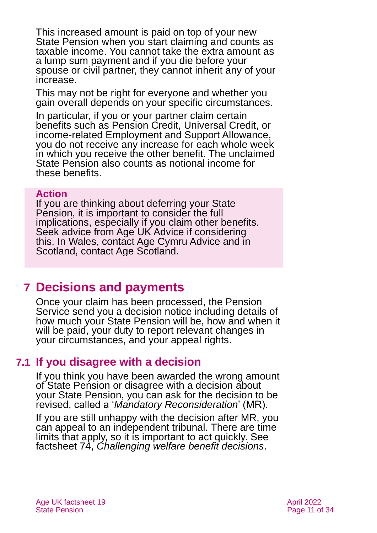This increased amount is paid on top of your new State Pension when you start claiming and counts as taxable income. You cannot take the extra amount as a lump sum payment and if you die before your spouse or civil partner, they cannot inherit any of your increase.

This may not be right for everyone and whether you gain overall depends on your specific circumstances.

In particular, if you or your partner claim certain benefits such as Pension Credit, Universal Credit, or income-related Employment and Support Allowance, you do not receive any increase for each whole week in which you receive the other benefit. The unclaimed State Pension also counts as notional income for these benefits.

#### **Action**

If you are thinking about deferring your State Pension, it is important to consider the full implications, especially if you claim other benefits. Seek advice from Age UK Advice if considering this. In Wales, contact [Age Cymru](#page-32-2) Advice and in Scotland, [contact Age Scotland.](#page-32-3)

## <span id="page-10-0"></span>**7 Decisions and payments**

Once your claim has been processed, the Pension Service send you a decision notice including details of how much your State Pension will be, how and when it will be paid, your duty to report relevant changes in your circumstances, and your appeal rights.

## **7.1 If you disagree with a decision**

If you think you have been awarded the wrong amount of State Pension or disagree with a decision about your State Pension, you can ask for the decision to be revised, called a '*Mandatory Reconsideration*' (MR).

If you are still unhappy with the decision after MR, you can appeal to an independent tribunal. There are time limits that apply, so it is important to act quickly. See factsheet 74, *[Challenging welfare benefit decisions](https://www.ageuk.org.uk/globalassets/age-uk/documents/factsheets/fs74_challenging_welfare_benefit_decisions_fcs.pdf)*.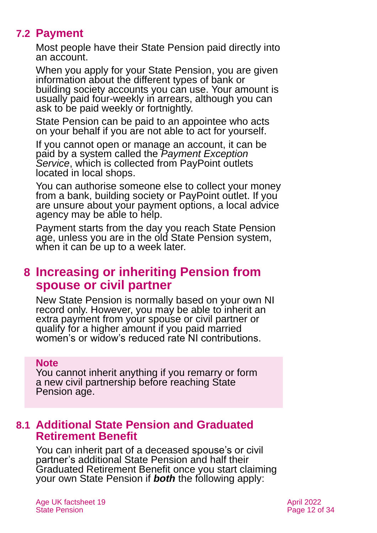## **7.2 Payment**

Most people have their State Pension paid directly into an account.

When you apply for your State Pension, you are given information about the different types of bank or building society accounts you can use. Your amount is usually paid four-weekly in arrears, although you can ask to be paid weekly or fortnightly.

State Pension can be paid to an appointee who acts on your behalf if you are not able to act for yourself.

If you cannot open or manage an account, it can be paid by a system called the *[Payment Exception](https://www.gov.uk/payment-exception-service)  [Service](https://www.gov.uk/payment-exception-service)*, which is collected from PayPoint outlets located in local shops.

You can authorise someone else to collect your money from a bank, building society or PayPoint outlet. If you are unsure about your payment options, a local advice agency may be able to help.

Payment starts from the day you reach State Pension age, unless you are in the old State Pension system, when it can be up to a week later.

## <span id="page-11-0"></span>**8 Increasing or inheriting Pension from spouse or civil partner**

New State Pension is normally based on your own NI record only. However, you may be able to inherit an extra payment from your spouse or civil partner or qualify for a higher amount if you paid married women's or widow's reduced rate NI contributions.

#### **Note**

You cannot inherit anything if you remarry or form a new civil partnership before reaching State Pension age.

## **8.1 Additional State Pension and Graduated Retirement Benefit**

You can inherit part of a deceased spouse's or civil partner's additional State Pension and half their Graduated Retirement Benefit once you start claiming your own State Pension if *both* the following apply: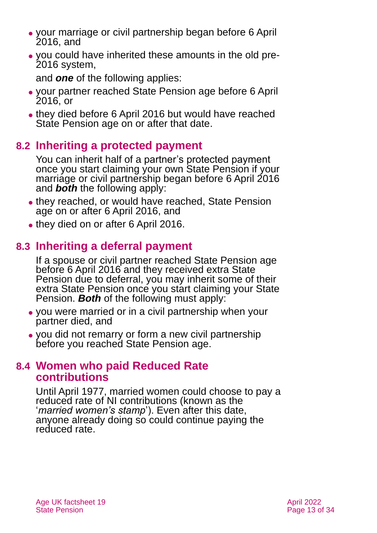- ⚫ your marriage or civil partnership began before 6 April 2016, and
- ⚫ you could have inherited these amounts in the old pre-2016 system,

and *one* of the following applies:

- ⚫ your partner reached State Pension age before 6 April 2016, or
- they died before 6 April 2016 but would have reached State Pension age on or after that date.

## **8.2 Inheriting a protected payment**

You can inherit half of a partner's protected payment once you start claiming your own State Pension if your marriage or civil partnership began before 6 April 2016 and *both* the following apply:

- they reached, or would have reached, State Pension age on or after 6 April 2016, and
- they died on or after 6 April 2016.

## **8.3 Inheriting a deferral payment**

If a spouse or civil partner reached State Pension age before 6 April 2016 and they received extra State Pension due to deferral, you may inherit some of their extra State Pension once you start claiming your State Pension. *Both* of the following must apply:

- ⚫ you were married or in a civil partnership when your partner died, and
- ⚫ you did not remarry or form a new civil partnership before you reached State Pension age.

## **8.4 Women who paid Reduced Rate contributions**

Until April 1977, married women could choose to pay a reduced rate of [NI](https://www.gov.uk/national-insurance) contributions (known as the '*married women's stamp*'). Even after this date, anyone already doing so could continue paying the reduced rate.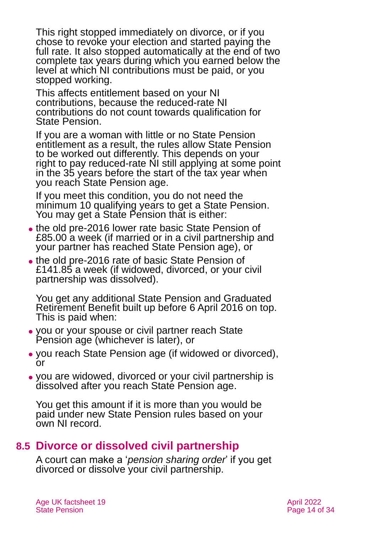This right stopped immediately on divorce, or if you chose to revoke your election and started paying the full rate. It also stopped automatically at the end of two complete tax years during which you earned below the level at which NI contributions must be paid, or you stopped working.

This affects entitlement based on your NI contributions, because the reduced-rate NI contributions do not count towards qualification for State Pension.

If you are a woman with little or no State Pension entitlement as a result, the rules allow State Pension to be worked out differently. This depends on your right to pay reduced-rate NI still applying at some point in the 35 years before the start of the tax year when you reach State Pension age.

If you meet this condition, you do not need the minimum 10 qualifying years to get a State Pension. You may get a State Pension that is either:

- ⚫ the old pre-2016 lower rate basic State Pension of £85.00 a week (if married or in a civil partnership and your partner has reached State Pension age), or
- ⚫ the old pre-2016 rate of basic State Pension of £141.85 a week (if widowed, divorced, or your civil partnership was dissolved).

You get any additional State Pension and Graduated Retirement Benefit built up before 6 April 2016 on top. This is paid when:

- ⚫ you or your spouse or civil partner reach State Pension age (whichever is later), or
- ⚫ you reach State Pension age (if widowed or divorced), or
- ⚫ you are widowed, divorced or your civil partnership is dissolved after you reach State Pension age.

You get this amount if it is more than you would be paid under new State Pension rules based on your own NI record.

## **8.5 Divorce or dissolved civil partnership**

A court can make a '*pension sharing order*' if you get divorced or dissolve your civil partnership.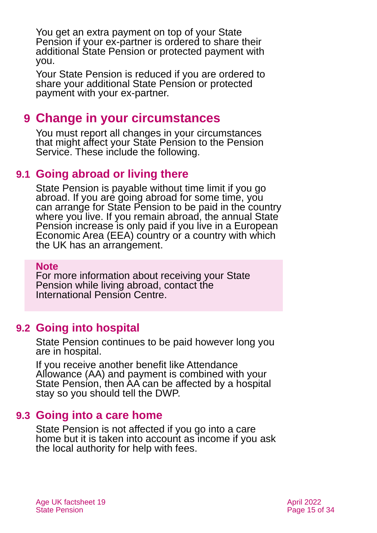You get an extra payment on top of your State Pension if your ex-partner is ordered to share their additional State Pension or protected payment with you.

Your State Pension is reduced if you are ordered to share your additional State Pension or protected payment with your ex-partner.

## <span id="page-14-0"></span>**9 Change in your circumstances**

You must report all changes in your circumstances that might affect your State Pension to the Pension Service. These include the following.

## **9.1 Going abroad or living there**

State Pension is payable without time limit if you go abroad. If you are going abroad for some time, you can arrange for State Pension to be paid in the country where you live. If you remain abroad, the annual State Pension increase is only paid if you live in a European Economic Area (EEA) country or a country with which the UK has an arrangement.

#### **Note**

For more information about receiving your State Pension while living abroad, contact the [International Pension Centre.](https://www.gov.uk/international-pension-centre)

## **9.2 Going into hospital**

State Pension continues to be paid however long you are in hospital.

If you receive another benefit like Attendance Allowance (AA) and payment is combined with your State Pension, then AA can be affected by a hospital stay so you should tell the DWP.

### **9.3 Going into a care home**

State Pension is not affected if you go into a care home but it is taken into account as income if you ask the local authority for help with fees.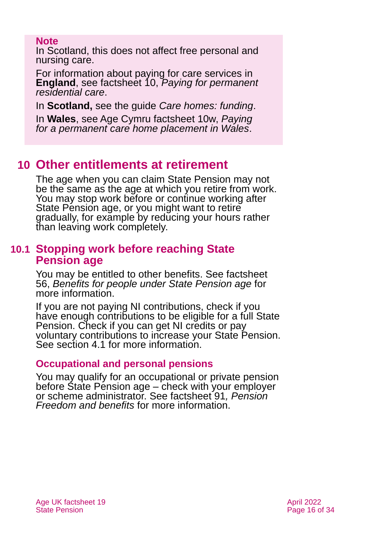#### **Note**

In Scotland, this does not affect free personal and nursing care.

For information about paying for care services in **England**, see factsheet 10, *[Paying for permanent](https://www.ageuk.org.uk/globalassets/age-uk/documents/factsheets/fs10_paying_for_permanent_residential_care_fcs.pdf)  [residential care](https://www.ageuk.org.uk/globalassets/age-uk/documents/factsheets/fs10_paying_for_permanent_residential_care_fcs.pdf)*.

In **Scotland,** see the guide *[Care homes: funding](https://www.ageuk.org.uk/globalassets/age-scotland/documents/ia---factsheets/care/care-5-care-home-guide---funding-apr-2020.pdf)*.

In **Wales**, see Age Cymru factsheet 10w, *[Paying](https://www.ageuk.org.uk/globalassets/age-cymru/documents/information-guides-and-factsheets/fs10w.pdf)  [for a permanent care home placement in Wales](https://www.ageuk.org.uk/globalassets/age-cymru/documents/information-guides-and-factsheets/fs10w.pdf)*.

## <span id="page-15-0"></span>**10 Other entitlements at retirement**

The age when you can claim State Pension may not be the same as the age at which you retire from work. You may stop work before or continue working after State Pension age, or you might want to retire gradually, for example by reducing your hours rather than leaving work completely.

## **10.1 Stopping work before reaching State Pension age**

You may be entitled to other benefits. See [factsheet](https://www.ageuk.org.uk/globalassets/age-uk/documents/factsheets/fs56-benefits-for-people-under-state-pension-age.pdf)  56, *[Benefits for people under State Pension age](https://www.ageuk.org.uk/globalassets/age-uk/documents/factsheets/fs56-benefits-for-people-under-state-pension-age.pdf)* for more information.

If you are not paying NI contributions, check if you have enough contributions to be eligible for a full State Pension. Check if you can get NI credits or pay voluntary contributions to increase your State Pension. See [section 4.1](#page-6-0) for more information.

### **Occupational and personal pensions**

You may qualify for an occupational or private pension before State Pension age – check with your employer or scheme administrator. See [factsheet 91](https://www.ageuk.org.uk/globalassets/age-uk/documents/factsheets/fs91_pension_freedom_and_benefits_fcs.pdf)*, Pension [Freedom and benefits](https://www.ageuk.org.uk/globalassets/age-uk/documents/factsheets/fs91_pension_freedom_and_benefits_fcs.pdf)* for more information.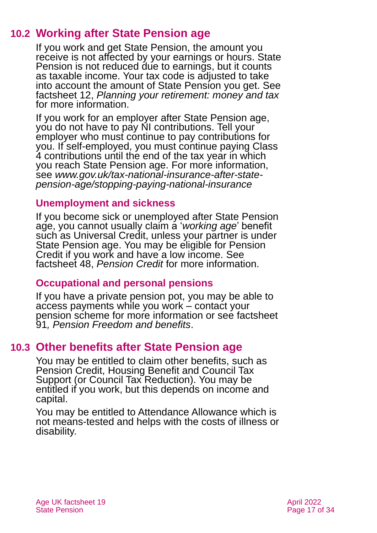## **10.2 Working after State Pension age**

If you work and get State Pension, the amount you receive is not affected by your earnings or hours. State Pension is not reduced due to earnings, but it counts as taxable income. Your tax code is adjusted to take into account the amount of State Pension you get. See factsheet 12, *[Planning your retirement: money and tax](https://www.ageuk.org.uk/globalassets/age-uk/documents/factsheets/fs12_planning_your_retirement_money_and_tax_fcs.pdf)* for more information.

If you work for an employer after State Pension age, you do not have to pay NI contributions. Tell your employer who must continue to pay contributions for you. If self-employed, you must continue paying Class 4 contributions until the end of the tax year in which you reach State Pension age. For more information, see *[www.gov.uk/tax-national-insurance-after-state](http://www.gov.uk/tax-national-insurance-after-state-pension-age/stopping-paying-national-insurance)[pension-age/stopping-paying-national-insurance](http://www.gov.uk/tax-national-insurance-after-state-pension-age/stopping-paying-national-insurance)*

### **Unemployment and sickness**

If you become sick or unemployed after State Pension age, you cannot usually claim a '*working age*' benefit such as Universal Credit, unless your partner is under State Pension age. You may be eligible for Pension Credit if you work and have a low income. See factsheet 48, *[Pension Credit](https://www.ageuk.org.uk/globalassets/age-uk/documents/factsheets/fs48_pension_credit_fcs.pdf?dtrk=true)* for more information.

### **Occupational and personal pensions**

If you have a private pension pot, you may be able to access payments while you work – contact your pension scheme for more information or see [factsheet](https://www.ageuk.org.uk/globalassets/age-uk/documents/factsheets/fs91_pension_freedom_and_benefits_fcs.pdf)  91*[, Pension Freedom and benefits](https://www.ageuk.org.uk/globalassets/age-uk/documents/factsheets/fs91_pension_freedom_and_benefits_fcs.pdf)*.

## **10.3 Other benefits after State Pension age**

You may be entitled to claim other benefits, such as Pension Credit, Housing Benefit and Council Tax Support (or Council Tax Reduction). You may be entitled if you work, but this depends on income and capital.

You may be entitled to Attendance Allowance which is not means-tested and helps with the costs of illness or disability.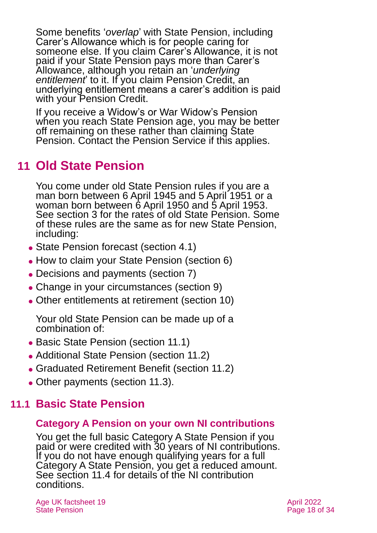Some benefits '*overlap*' with State Pension, including Carer's Allowance which is for people caring for someone else. If you claim Carer's Allowance, it is not paid if your State Pension pays more than Carer's Allowance, although you retain an '*underlying entitlement*' to it. If you claim Pension Credit, an underlying entitlement means a carer's addition is paid with your Pension Credit.

If you receive a Widow's or War Widow's Pension when you reach State Pension age, you may be better off remaining on these rather than claiming State Pension. Contact the Pension Service if this applies.

## <span id="page-17-0"></span>**11 Old State Pension**

You come under old State Pension rules if you are a man born between 6 April 1945 and 5 April 1951 or a woman born between 6 April 1950 and 5 April 1953. See [section 3](#page-5-0) for the rates of old State Pension. Some of these rules are the same as for new State Pension, including:

- State Pension forecast [\(section 4.1\)](#page-6-0)
- ⚫ How to claim your State Pension [\(section 6\)](#page-8-0)
- Decisions and payments [\(section 7\)](#page-10-0)
- Change in your circumstances [\(section 9\)](#page-14-0)
- ⚫ Other entitlements at retirement [\(section 10\)](#page-15-0)

Your old State Pension can be made up of a combination of:

- Basic State Pension [\(section 11.1\)](#page-17-1)
- Additional State Pension [\(section 11.2\)](#page-18-0)
- ⚫ Graduated Retirement Benefit [\(section 11.2\)](#page-19-0)
- <span id="page-17-1"></span>• Other payments [\(section 11.3\)](#page-19-1).

## **11.1 Basic State Pension**

### **Category A Pension on your own NI contributions**

You get the full basic Category A State Pension if you paid or were credited with 30 years of NI contributions. If you do not have enough qualifying years for a full Category A State Pension, you get a reduced amount. See [section 11.4](#page-19-2) for details of the NI contribution conditions.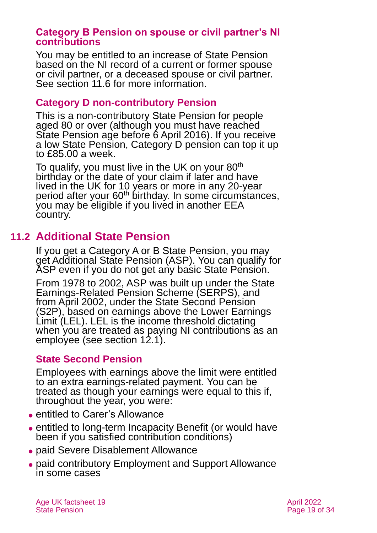#### **Category B Pension on spouse or civil partner's NI contributions**

You may be entitled to an increase of State Pension based on the NI record of a current or former spouse or civil partner, or a deceased spouse or civil partner. See [section 11.6](#page-21-0) for more information.

### **Category D non-contributory Pension**

This is a non-contributory State Pension for people aged 80 or over (although you must have reached State Pension age before 6 April 2016). If you receive a low State Pension, Category D pension can top it up to £85.00 a week.

To qualify, you must live in the UK on your  $80<sup>th</sup>$ birthday or the date of your claim if later and have lived in the UK for 10 years or more in any 20-year period after your 60<sup>th</sup> birthday. In some circumstances, you may be eligible if you lived in another EEA country.

## **11.2 Additional State Pension**

<span id="page-18-0"></span>If you get a Category A or B State Pension, you may get Additional State Pension (ASP). You can qualify for ASP even if you do not get any basic State Pension.

From 1978 to 2002, ASP was built up under the State Earnings-Related Pension Scheme (SERPS), and from April 2002, under the State Second Pension (S2P), based on earnings above the Lower Earnings Limit (LEL). LEL is the income threshold dictating when you are treated as paying NI contributions as an employee (see [section 12.1\)](#page-25-0).

### **State Second Pension**

Employees with earnings above the limit were entitled to an extra earnings-related payment. You can be treated as though your earnings were equal to this if, throughout the year, you were:

- entitled to Carer's Allowance
- ⚫ entitled to long-term Incapacity Benefit (or would have been if you satisfied contribution conditions)
- ⚫ paid Severe Disablement Allowance
- ⚫ paid contributory Employment and Support Allowance in some cases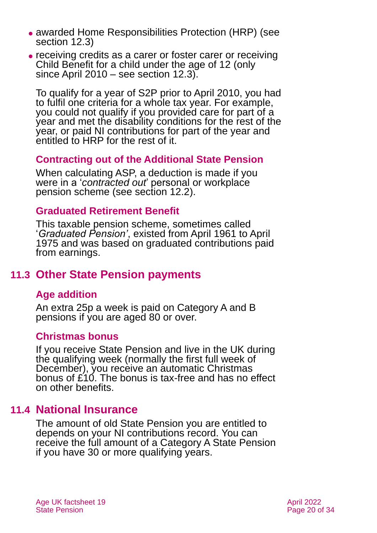- ⚫ awarded Home Responsibilities Protection (HRP) (see [section 12.3\)](#page-26-0)
- ⚫ receiving credits as a carer or foster carer or receiving Child Benefit for a child under the age of 12 (only since April 2010 – see [section 12.3](#page-26-0)).

To qualify for a year of S2P prior to April 2010, you had to fulfil one criteria for a whole tax year. For example, you could not qualify if you provided care for part of a year and met the disability conditions for the rest of the year, or paid NI contributions for part of the year and entitled to HRP for the rest of it.

### **Contracting out of the Additional State Pension**

When calculating ASP, a deduction is made if you were in a '*contracted out*' personal or workplace pension scheme (see [section 12.2\)](#page-25-0).

### <span id="page-19-0"></span>**Graduated Retirement Benefit**

This taxable pension scheme, sometimes called '*Graduated Pension'*, existed from April 1961 to April 1975 and was based on graduated contributions paid from earnings.

## <span id="page-19-1"></span>**11.3 Other State Pension payments**

## **Age addition**

An extra 25p a week is paid on Category A and B pensions if you are aged 80 or over.

### **Christmas bonus**

If you receive State Pension and live in the UK during the qualifying week (normally the first full week of December), you receive an automatic Christmas bonus of £10. The bonus is tax-free and has no effect on other benefits.

## **11.4 National Insurance**

<span id="page-19-2"></span>The amount of old State Pension you are entitled to depends on your NI contributions record. You can receive the full amount of a Category A State Pension if you have 30 or more qualifying years.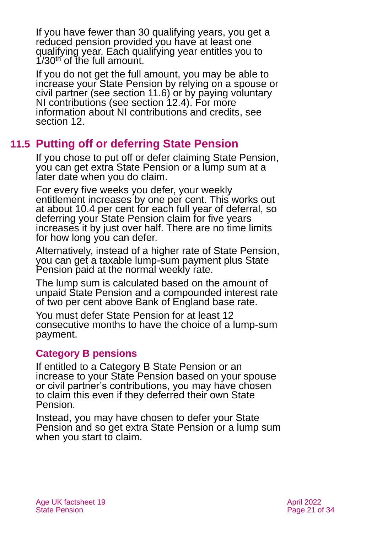If you have fewer than 30 qualifying years, you get a reduced pension provided you have at least one qualifying year. Each qualifying year entitles you to  $1/30<sup>th</sup>$  of the full amount.

If you do not get the full amount, you may be able to increase your State Pension by relying on a spouse or civil partner (see [section 11.6\)](#page-21-0) or by paying voluntary NI contributions (see [section 12.4\)](#page-29-0). For more information about NI contributions and credits, see [section 12.](#page-24-0)

## **11.5 Putting off or deferring State Pension**

If you chose to put off or defer claiming State Pension, you can get extra State Pension or a lump sum at a later date when you do claim.

For every five weeks you defer, your weekly entitlement increases by one per cent. This works out at about 10.4 per cent for each full year of deferral, so deferring your State Pension claim for five years increases it by just over half. There are no time limits for how long you can defer.

Alternatively, instead of a higher rate of State Pension, you can get a taxable lump-sum payment plus State Pension paid at the normal weekly rate.

The lump sum is calculated based on the amount of unpaid State Pension and a compounded interest rate of two per cent above Bank of England base rate.

You must defer State Pension for at least 12 consecutive months to have the choice of a lump-sum payment.

### **Category B pensions**

If entitled to a Category B State Pension or an increase to your State Pension based on your spouse or civil partner's contributions, you may have chosen to claim this even if they deferred their own State Pension.

Instead, you may have chosen to defer your State Pension and so get extra State Pension or a lump sum when you start to claim.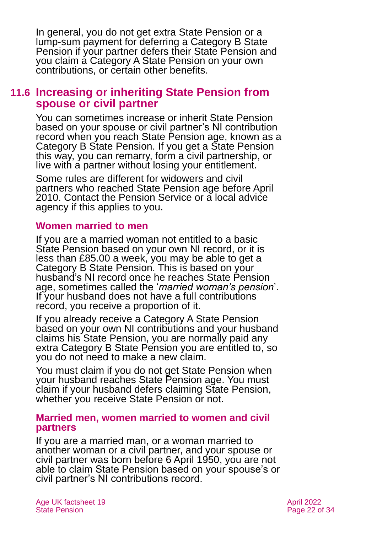In general, you do not get extra State Pension or a lump-sum payment for deferring a Category B State Pension if your partner defers their State Pension and you claim a Category A State Pension on your own contributions, or certain other benefits.

## <span id="page-21-0"></span>**11.6 Increasing or inheriting State Pension from spouse or civil partner**

You can sometimes increase or inherit State Pension based on your spouse or civil partner's NI contribution record when you reach State Pension age, known as a Category B State Pension. If you get a State Pension this way, you can remarry, form a civil partnership, or live with a partner without losing your entitlement.

Some rules are different for widowers and civil partners who reached State Pension age before April 2010. Contact the Pension Service or a local advice agency if this applies to you.

#### **Women married to men**

If you are a married woman not entitled to a basic State Pension based on your own NI record, or it is less than £85.00 a week, you may be able to get a Category B State Pension. This is based on your husband's NI record once he reaches State Pension age, sometimes called the '*married woman's pension*'. If your husband does not have a full contributions record, you receive a proportion of it.

If you already receive a Category A State Pension based on your own NI contributions and your husband claims his State Pension, you are normally paid any extra Category B State Pension you are entitled to, so you do not need to make a new claim.

You must claim if you do not get State Pension when your husband reaches State Pension age. You must claim if your husband defers claiming State Pension, whether you receive State Pension or not.

#### **Married men, women married to women and civil partners**

If you are a married man, or a woman married to another woman or a civil partner, and your spouse or civil partner was born before 6 April 1950, you are not able to claim State Pension based on your spouse's or civil partner's NI contributions record.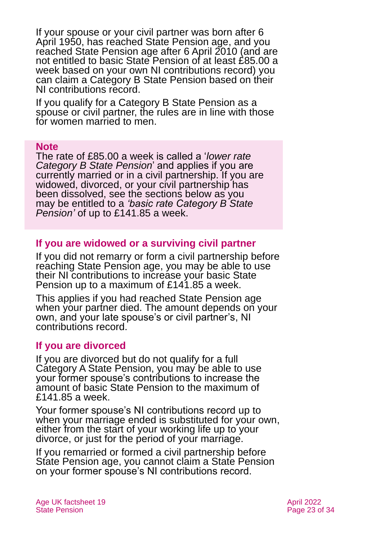If your spouse or your civil partner was born after 6 April 1950, has reached State Pension age, and you reached State Pension age after 6 April 2010 (and are not entitled to basic State Pension of at least £85.00 a week based on your own NI contributions record) you can claim a Category B State Pension based on their NI contributions record.

If you qualify for a Category B State Pension as a spouse or civil partner, the rules are in line with those for women married to men.

#### **Note**

The rate of £85.00 a week is called a '*lower rate Category B State Pension*' and applies if you are currently married or in a civil partnership. If you are widowed, divorced, or your civil partnership has been dissolved, see the sections below as you may be entitled to a *'basic rate Category B State Pension'* of up to £141.85 a week.

#### **If you are widowed or a surviving civil partner**

If you did not remarry or form a civil partnership before reaching State Pension age, you may be able to use their NI contributions to increase your basic State Pension up to a maximum of £141.85 a week.

This applies if you had reached State Pension age when your partner died. The amount depends on your own, and your late spouse's or civil partner's, NI contributions record.

#### **If you are divorced**

If you are divorced but do not qualify for a full Category A State Pension, you may be able to use your former spouse's contributions to increase the amount of basic State Pension to the maximum of £141.85 a week.

Your former spouse's NI contributions record up to when your marriage ended is substituted for your own, either from the start of your working life up to your divorce, or just for the period of your marriage.

If you remarried or formed a civil partnership before State Pension age, you cannot claim a State Pension on your former spouse's NI contributions record.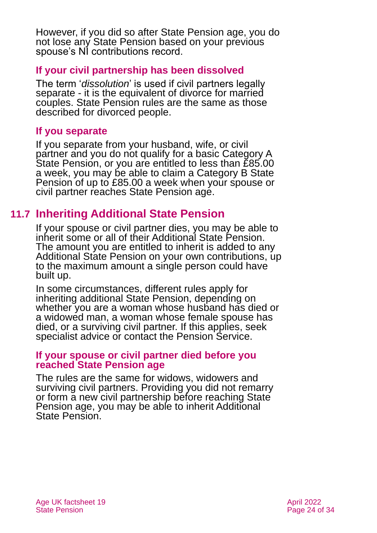However, if you did so after State Pension age, you do not lose any State Pension based on your previous spouse's NI contributions record.

## **If your civil partnership has been dissolved**

The term '*dissolution*' is used if civil partners legally separate - it is the equivalent of divorce for married couples. State Pension rules are the same as those described for divorced people.

## **If you separate**

If you separate from your husband, wife, or civil partner and you do not qualify for a basic Category A State Pension, or you are entitled to less than £85.00 a week, you may be able to claim a Category B State Pension of up to £85.00 a week when your spouse or civil partner reaches State Pension age.

## **11.7 Inheriting Additional State Pension**

If your spouse or civil partner dies, you may be able to inherit some or all of their Additional State Pension. The amount you are entitled to inherit is added to any Additional State Pension on your own contributions, up to the maximum amount a single person could have built up.

In some circumstances, different rules apply for inheriting additional State Pension, depending on whether you are a woman whose husband has died or a widowed man, a woman whose female spouse has died, or a surviving civil partner. If this applies, seek specialist advice or contact the Pension Service.

#### **If your spouse or civil partner died before you reached State Pension age**

The rules are the same for widows, widowers and surviving civil partners. Providing you did not remarry or form a new civil partnership before reaching State Pension age, you may be able to inherit Additional State Pension.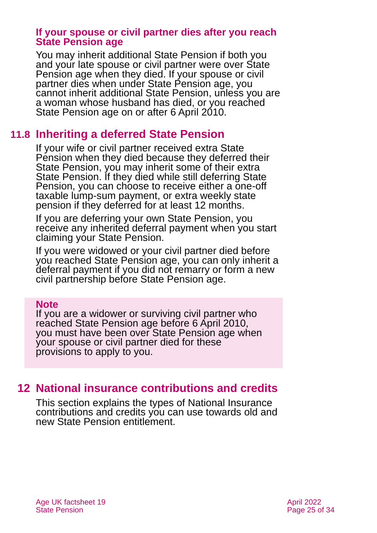#### **If your spouse or civil partner dies after you reach State Pension age**

You may inherit additional State Pension if both you and your late spouse or civil partner were over State Pension age when they died. If your spouse or civil partner dies when under State Pension age, you cannot inherit additional State Pension, unless you are a woman whose husband has died, or you reached State Pension age on or after 6 April 2010.

## **11.8 Inheriting a deferred State Pension**

If your wife or civil partner received extra State Pension when they died because they deferred their State Pension, you may inherit some of their extra State Pension. If they died while still deferring State Pension, you can choose to receive either a one-off taxable lump-sum payment, or extra weekly state pension if they deferred for at least 12 months.

If you are deferring your own State Pension, you receive any inherited deferral payment when you start claiming your State Pension.

If you were widowed or your civil partner died before you reached State Pension age, you can only inherit a deferral payment if you did not remarry or form a new civil partnership before State Pension age.

#### **Note**

If you are a widower or surviving civil partner who reached State Pension age before 6 April 2010, you must have been over State Pension age when your spouse or civil partner died for these provisions to apply to you.

## <span id="page-24-0"></span>**12 National insurance contributions and credits**

This section explains the types of National Insurance contributions and credits you can use towards old and new State Pension entitlement.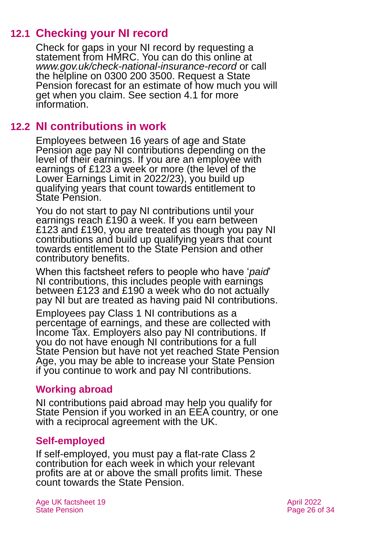## **12.1 Checking your NI record**

Check for gaps in your NI record by requesting a statement from HMRC. You can do this online at *[www.gov.uk/check-national-insurance-record](http://www.gov.uk/check-national-insurance-record)* or call the helpline on 0300 200 3500. Request a State Pension forecast for an estimate of how much you will get when you claim. See [section 4.1](#page-6-0) for more information.

## **12.2 NI contributions in work**

<span id="page-25-0"></span>Employees between 16 years of age and State Pension age pay NI contributions depending on the level of their earnings. If you are an employee with earnings of £123 a week or more (the level of the Lower Earnings Limit in 2022/23), you build up qualifying years that count towards entitlement to State Pension.

You do not start to pay NI contributions until your earnings reach £190 a week. If you earn between £123 and £190, you are treated as though you pay NI contributions and build up qualifying years that count towards entitlement to the State Pension and other contributory benefits.

When this factsheet refers to people who have '*paid*' NI contributions, this includes people with earnings between £123 and £190 a week who do not actually pay NI but are treated as having paid NI contributions.

Employees pay Class 1 NI contributions as a percentage of earnings, and these are collected with Income Tax. Employers also pay NI contributions. If you do not have enough NI contributions for a full State Pension but have not yet reached State Pension Age, you may be able to increase your State Pension if you continue to work and pay NI contributions.

### **Working abroad**

NI contributions paid abroad may help you qualify for State Pension if you worked in an EEA country, or one with a reciprocal agreement with the UK.

## **Self-employed**

If self-employed, you must pay a flat-rate Class 2 contribution for each week in which your relevant profits are at or above the small profits limit. These count towards the State Pension.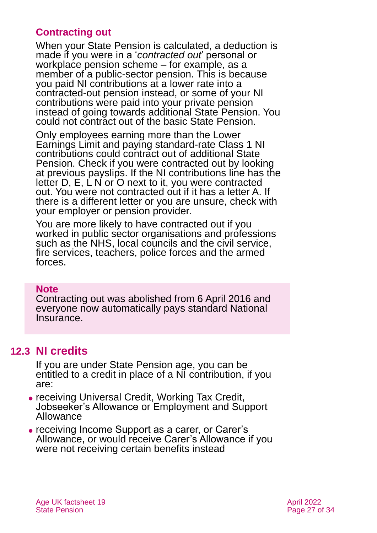## **Contracting out**

When your State Pension is calculated, a deduction is made if you were in a '*contracted out*' personal or workplace pension scheme – for example, as a member of a public-sector pension. This is because you paid NI contributions at a lower rate into a contracted-out pension instead, or some of your NI contributions were paid into your private pension instead of going towards additional State Pension. You could not contract out of the basic State Pension.

Only employees earning more than the Lower Earnings Limit and paying standard-rate Class 1 NI contributions could contract out of additional State Pension. Check if you were contracted out by looking at previous payslips. If the NI contributions line has the letter D, E, L N or O next to it, you were contracted out. You were not contracted out if it has a letter A. If there is a different letter or you are unsure, check with your employer or pension provider.

You are more likely to have contracted out if you worked in public sector organisations and professions such as the NHS, local councils and the civil service, fire services, teachers, police forces and the armed forces.

#### **Note**

Contracting out was abolished from 6 April 2016 and everyone now automatically pays standard National Insurance.

## **12.3 NI credits**

<span id="page-26-0"></span>If you are under State Pension age, you can be entitled to a credit in place of a NI contribution, if you are:

- ⚫ receiving Universal Credit, Working Tax Credit, Jobseeker's Allowance or Employment and Support Allowance
- ⚫ receiving Income Support as a carer, or Carer's Allowance, or would receive Carer's Allowance if you were not receiving certain benefits instead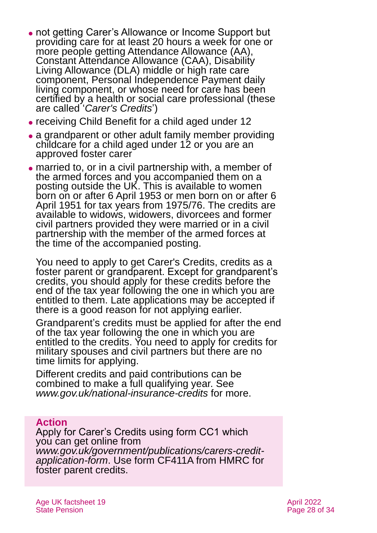- not getting Carer's Allowance or Income Support but providing care for at least 20 hours a week for one or more people getting Attendance Allowance (AA), Constant Attendance Allowance (CAA), Disability Living Allowance (DLA) middle or high rate care component, Personal Independence Payment daily living component, or whose need for care has been certified by a health or social care professional (these are called '*Carer's Credits*')
- ⚫ receiving Child Benefit for a child aged under 12
- a grandparent or other adult family member providing childcare for a child aged under 12 or you are an approved foster carer
- ⚫ married to, or in a civil partnership with, a member of the armed forces and you accompanied them on a posting outside the UK. This is available to women born on or after 6 April 1953 or men born on or after 6 April 1951 for tax years from 1975/76. The credits are available to widows, widowers, divorcees and former civil partners provided they were married or in a civil partnership with the member of the armed forces at the time of the accompanied posting.

You need to apply to get Carer's Credits, credits as a foster parent or grandparent. Except for grandparent's credits, you should apply for these credits before the end of the tax year following the one in which you are entitled to them. Late applications may be accepted if there is a good reason for not applying earlier.

Grandparent's credits must be applied for after the end of the tax year following the one in which you are entitled to the credits. You need to apply for credits for military spouses and civil partners but there are no time limits for applying.

Different credits and paid contributions can be combined to make a full qualifying year. See *[www.gov.uk/national-insurance-credits](http://www.gov.uk/national-insurance-credits)* for more.

### **Action**

Apply for Carer's Credits using form CC1 which you can get online from *[www.gov.uk/government/publications/carers-credit](http://www.gov.uk/government/publications/carers-credit-application-form)[application-form](http://www.gov.uk/government/publications/carers-credit-application-form)*. Use form CF411A from HMRC for foster parent credits.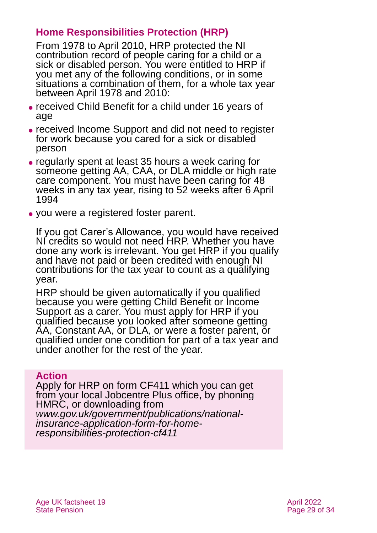## **Home Responsibilities Protection (HRP)**

From 1978 to April 2010, HRP protected the NI contribution record of people caring for a child or a sick or disabled person. You were entitled to HRP if you met any of the following conditions, or in some situations a combination of them, for a whole tax year between April 1978 and 2010:

- ⚫ received Child Benefit for a child under 16 years of age
- ⚫ received Income Support and did not need to register for work because you cared for a sick or disabled person
- ⚫ regularly spent at least 35 hours a week caring for someone getting AA, CAA, or DLA middle or high rate care component. You must have been caring for 48 weeks in any tax year, rising to 52 weeks after 6 April 1994
- ⚫ you were a registered foster parent.

If you got Carer's Allowance, you would have received NI credits so would not need HRP. Whether you have done any work is irrelevant. You get HRP if you qualify and have not paid or been credited with enough NI contributions for the tax year to count as a qualifying year.

HRP should be given automatically if you qualified because you were getting Child Benefit or Income Support as a carer. You must apply for HRP if you qualified because you looked after someone getting AA, Constant AA, or DLA, or were a foster parent, or qualified under one condition for part of a tax year and under another for the rest of the year.

#### **Action**

Apply for HRP on form CF411 which you can get from your local Jobcentre Plus office, by phoning HMRC, or downloading from *[www.gov.uk/government/publications/national](http://www.gov.uk/government/publications/national-insurance-application-form-for-home-responsibilities-protection-cf411)[insurance-application-form-for-home](http://www.gov.uk/government/publications/national-insurance-application-form-for-home-responsibilities-protection-cf411)[responsibilities-protection-cf411](http://www.gov.uk/government/publications/national-insurance-application-form-for-home-responsibilities-protection-cf411)*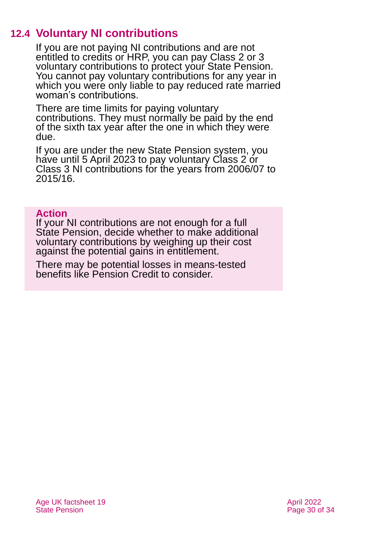## **12.4 Voluntary NI contributions**

<span id="page-29-0"></span>If you are not paying NI contributions and are not entitled to credits or HRP, you can pay Class 2 or 3 voluntary contributions to protect your State Pension. You cannot pay voluntary contributions for any year in which you were only liable to pay reduced rate married woman's contributions.

There are time limits for paying voluntary contributions. They must normally be paid by the end of the sixth tax year after the one in which they were due.

If you are under the new State Pension system, you have until 5 April 2023 to pay voluntary Class 2 or Class 3 NI contributions for the years from 2006/07 to 2015/16.

#### **Action**

If your NI contributions are not enough for a full State Pension, decide whether to make additional voluntary contributions by weighing up their cost against the potential gains in entitlement.

There may be potential losses in means-tested benefits like Pension Credit to consider.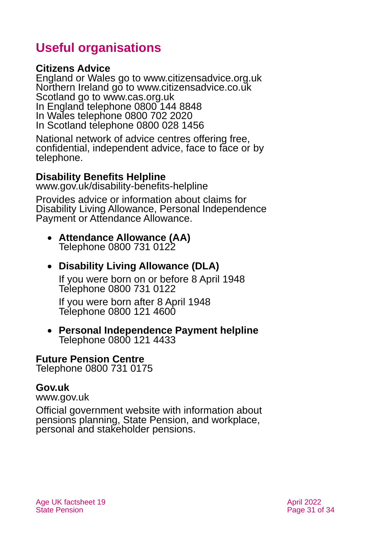## <span id="page-30-0"></span>**Useful organisations**

### <span id="page-30-1"></span>**Citizens Advice**

England or Wales go to [www.citizensadvice.org.uk](http://www.citizensadvice.org.uk/) Northern Ireland go to [www.citizensadvice.co.uk](http://www.citizensadvice.co.uk/) Scotland go to [www.cas.org.uk](http://www.cas.org.uk/) In England telephone 0800 144 8848 In Wales telephone 0800 702 2020 In Scotland telephone 0800 028 1456

National network of advice centres offering free, confidential, independent advice, face to face or by telephone.

### **Disability Benefits Helpline**

[www.gov.uk/disability-benefits-helpline](http://www.gov.uk/disability-benefits-helpline)

Provides advice or information about claims for Disability Living Allowance, Personal Independence Payment or Attendance Allowance.

#### • **Attendance Allowance (AA)** Telephone 0800 731 0122

## • **Disability Living Allowance (DLA)**

If you were born on or before 8 April 1948 Telephone 0800 731 0122

If you were born after 8 April 1948 Telephone 0800 121 4600

#### • **Personal Independence Payment helpline** Telephone 0800 121 4433

#### **Future Pension Centre**

Telephone 0800 731 0175

### **Gov.uk**

[www.gov.uk](http://www.gov.uk/)

Official government website with information about pensions planning, State Pension, and workplace, personal and stakeholder pensions.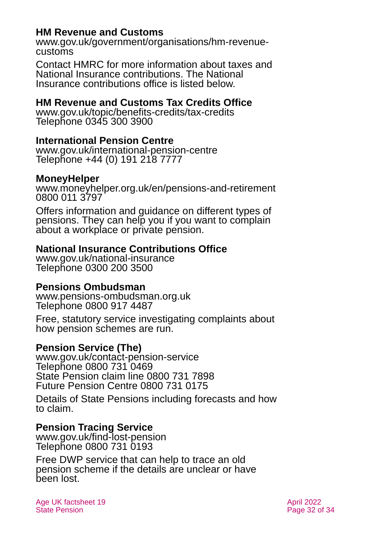### **HM Revenue and Customs**

[www.gov.uk/government/organisations/hm-revenue](http://www.gov.uk/government/organisations/hm-revenue-customs)[customs](http://www.gov.uk/government/organisations/hm-revenue-customs)

Contact HMRC for more information about taxes and National Insurance contributions. The National Insurance contributions office is listed below.

### **HM Revenue and Customs Tax Credits Office**

[www.gov.uk/topic/benefits-credits/tax-credits](http://www.gov.uk/topic/benefits-credits/tax-credits) Telephone 0345 300 3900

### **International Pension Centre**

[www.gov.uk/international-pension-centre](http://www.gov.uk/international-pension-centre) Telephone +44 (0) 191 218 7777

#### **MoneyHelper**

[www.moneyhelper.org.uk/en/pensions-and-retirement](http://www.moneyhelper.org.uk/en/pensions-and-retirement) 0800 011 3797

Offers information and guidance on different types of pensions. They can help you if you want to complain about a workplace or private pension.

### **National Insurance Contributions Office**

[www.gov.uk/national-insurance](http://www.gov.uk/national-insurance) Telephone 0300 200 3500

#### **Pensions Ombudsman**

[www.pensions-ombudsman.org.uk](http://www.pensions-ombudsman.org.uk/) Telephone 0800 917 4487

Free, statutory service investigating [complaints](http://www.pensions-ombudsman.org.uk/Complaints/) about how pension schemes are run.

### **Pension Service (The)**

[www.gov.uk/contact-pension-service](http://www.gov.uk/contact-pension-service) Telephone 0800 731 0469 State Pension claim line 0800 731 7898 Future Pension Centre 0800 731 0175

Details of State Pensions including forecasts and how to claim.

#### **Pension Tracing Service**

[www.gov.uk/find-lost-pension](http://www.gov.uk/find-lost-pension) Telephone 0800 731 0193

Free DWP service that can help to trace an old pension scheme if the details are unclear or have been lost.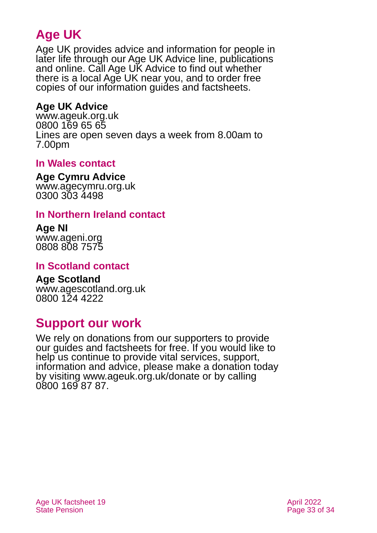## **Age UK**

Age UK provides advice and information for people in later life through our Age UK Advice line, publications and online. Call Age UK Advice to find out whether there is a local Age UK near you, and to order free copies of our information guides and factsheets.

## **Age UK Advice**

[www.ageuk.org.uk](http://www.ageuk.org.uk/) 0800 169 65 65 Lines are open seven days a week from 8.00am to 7.00pm

### <span id="page-32-2"></span>**In Wales contact**

#### <span id="page-32-0"></span>**Age Cymru Advice**

[www.agecymru.org.uk](http://www.agecymru.org.uk/) 0300 303 4498

### **In Northern Ireland contact**

# **Age NI**

[www.ageni.org](http://www.ageni.org/) 0808 808 7575

### <span id="page-32-3"></span>**In Scotland contact**

## <span id="page-32-1"></span>**Age Scotland**

[www.agescotland.org.uk](http://www.agescotland.org.uk/) 0800 124 4222

## **Support our work**

We rely on donations from our supporters to provide our guides and factsheets for free. If you would like to help us continue to provide vital services, support, information and advice, please make a donation today by visiting [www.ageuk.org.uk/donate](http://www.ageuk.org.uk/donate) or by calling 0800 169 87 87.